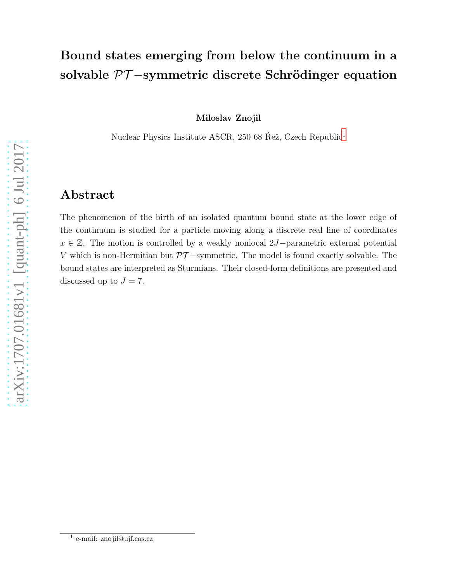# Bound states emerging from below the continuum in a solvable  $\mathcal{PT}-symmetric$  discrete Schrödinger equation

Miloslav Znojil

Nuclear Physics Institute ASCR, 250 68 Řež, Czech Republic<sup>[1](#page-0-0)</sup>

## Abstract

The phenomenon of the birth of an isolated quantum bound state at the lower edge of the continuum is studied for a particle moving along a discrete real line of coordinates  $x \in \mathbb{Z}$ . The motion is controlled by a weakly nonlocal 2J-parametric external potential V which is non-Hermitian but  $\mathcal{PT}-$ symmetric. The model is found exactly solvable. The bound states are interpreted as Sturmians. Their closed-form definitions are presented and discussed up to  $J = 7$ .

<span id="page-0-0"></span><sup>&</sup>lt;sup>1</sup> e-mail: znojil@ujf.cas.cz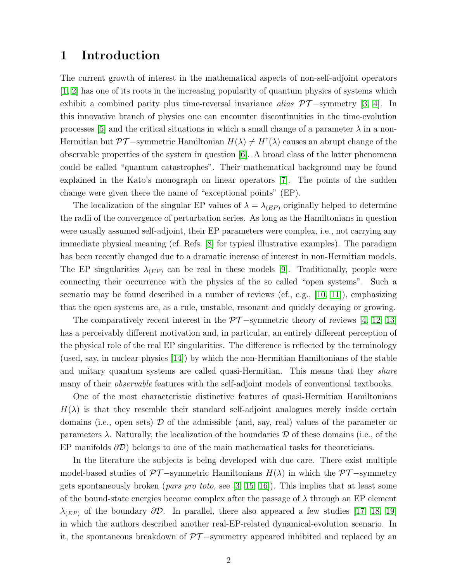## 1 Introduction

The current growth of interest in the mathematical aspects of non-self-adjoint operators  $[1, 2]$  $[1, 2]$  has one of its roots in the increasing popularity of quantum physics of systems which exhibit a combined parity plus time-reversal invariance alias  $\mathcal{PT}-symmetry$  [\[3,](#page-25-2) [4\]](#page-25-3). In this innovative branch of physics one can encounter discontinuities in the time-evolution processes [\[5\]](#page-25-4) and the critical situations in which a small change of a parameter  $\lambda$  in a non-Hermitian but  $\mathcal{PT}-$ symmetric Hamiltonian  $H(\lambda) \neq H^{\dagger}(\lambda)$  causes an abrupt change of the observable properties of the system in question [\[6\]](#page-25-5). A broad class of the latter phenomena could be called "quantum catastrophes". Their mathematical background may be found explained in the Kato's monograph on linear operators [\[7\]](#page-25-6). The points of the sudden change were given there the name of "exceptional points" (EP).

The localization of the singular EP values of  $\lambda = \lambda_{(EP)}$  originally helped to determine the radii of the convergence of perturbation series. As long as the Hamiltonians in question were usually assumed self-adjoint, their EP parameters were complex, i.e., not carrying any immediate physical meaning (cf. Refs. [\[8\]](#page-25-7) for typical illustrative examples). The paradigm has been recently changed due to a dramatic increase of interest in non-Hermitian models. The EP singularities  $\lambda_{(EP)}$  can be real in these models [\[9\]](#page-25-8). Traditionally, people were connecting their occurrence with the physics of the so called "open systems". Such a scenario may be found described in a number of reviews (cf., e.g., [\[10,](#page-25-9) [11\]](#page-25-10)), emphasizing that the open systems are, as a rule, unstable, resonant and quickly decaying or growing.

The comparatively recent interest in the  $\mathcal{PT}-$ symmetric theory of reviews [\[4,](#page-25-3) [12,](#page-25-11) [13\]](#page-25-12) has a perceivably different motivation and, in particular, an entirely different perception of the physical role of the real EP singularities. The difference is reflected by the terminology (used, say, in nuclear physics [\[14\]](#page-25-13)) by which the non-Hermitian Hamiltonians of the stable and unitary quantum systems are called quasi-Hermitian. This means that they *share* many of their *observable* features with the self-adjoint models of conventional textbooks.

One of the most characteristic distinctive features of quasi-Hermitian Hamiltonians  $H(\lambda)$  is that they resemble their standard self-adjoint analogues merely inside certain domains (i.e., open sets)  $\mathcal D$  of the admissible (and, say, real) values of the parameter or parameters  $\lambda$ . Naturally, the localization of the boundaries D of these domains (i.e., of the EP manifolds  $\partial \mathcal{D}$ ) belongs to one of the main mathematical tasks for theoreticians.

In the literature the subjects is being developed with due care. There exist multiple model-based studies of  $\mathcal{PT}-symmetric$  Hamiltonians  $H(\lambda)$  in which the  $\mathcal{PT}-symmetry$ gets spontaneously broken (*pars pro toto*, see [\[3,](#page-25-2) [15,](#page-25-14) [16\]](#page-26-0)). This implies that at least some of the bound-state energies become complex after the passage of  $\lambda$  through an EP element  $\lambda_{(EP)}$  of the boundary  $\partial \mathcal{D}$ . In parallel, there also appeared a few studies [\[17,](#page-26-1) [18,](#page-26-2) [19\]](#page-26-3) in which the authors described another real-EP-related dynamical-evolution scenario. In it, the spontaneous breakdown of  $\mathcal{PT}-symmetry$  appeared inhibited and replaced by an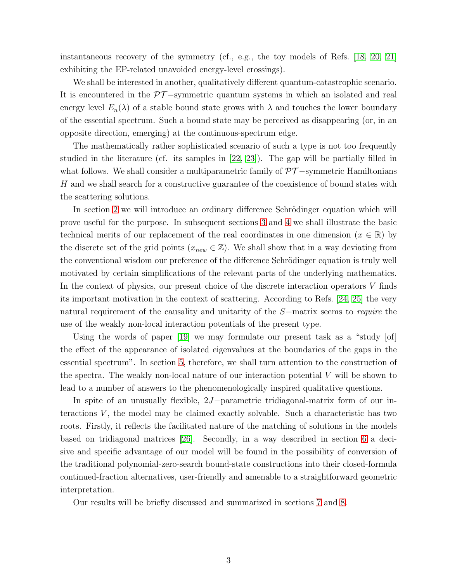instantaneous recovery of the symmetry (cf., e.g., the toy models of Refs. [\[18,](#page-26-2) [20,](#page-26-4) [21\]](#page-26-5) exhibiting the EP-related unavoided energy-level crossings).

We shall be interested in another, qualitatively different quantum-catastrophic scenario. It is encountered in the  $\mathcal{PT}-symmetric$  quantum systems in which an isolated and real energy level  $E_n(\lambda)$  of a stable bound state grows with  $\lambda$  and touches the lower boundary of the essential spectrum. Such a bound state may be perceived as disappearing (or, in an opposite direction, emerging) at the continuous-spectrum edge.

The mathematically rather sophisticated scenario of such a type is not too frequently studied in the literature (cf. its samples in [\[22,](#page-26-6) [23\]](#page-26-7)). The gap will be partially filled in what follows. We shall consider a multiparametric family of  $\mathcal{PT}-symmetric$  Hamiltonians H and we shall search for a constructive guarantee of the coexistence of bound states with the scattering solutions.

In section [2](#page-3-0) we will introduce an ordinary difference Schrödinger equation which will prove useful for the purpose. In subsequent sections [3](#page-6-0) and [4](#page-8-0) we shall illustrate the basic technical merits of our replacement of the real coordinates in one dimension ( $x \in \mathbb{R}$ ) by the discrete set of the grid points ( $x_{new} \in \mathbb{Z}$ ). We shall show that in a way deviating from the conventional wisdom our preference of the difference Schrödinger equation is truly well motivated by certain simplifications of the relevant parts of the underlying mathematics. In the context of physics, our present choice of the discrete interaction operators V finds its important motivation in the context of scattering. According to Refs. [\[24,](#page-26-8) [25\]](#page-26-9) the very natural requirement of the causality and unitarity of the S−matrix seems to require the use of the weakly non-local interaction potentials of the present type.

Using the words of paper  $[19]$  we may formulate our present task as a "study  $[of]$ the effect of the appearance of isolated eigenvalues at the boundaries of the gaps in the essential spectrum". In section [5,](#page-10-0) therefore, we shall turn attention to the construction of the spectra. The weakly non-local nature of our interaction potential  $V$  will be shown to lead to a number of answers to the phenomenologically inspired qualitative questions.

In spite of an unusually flexible, 2J−parametric tridiagonal-matrix form of our interactions  $V$ , the model may be claimed exactly solvable. Such a characteristic has two roots. Firstly, it reflects the facilitated nature of the matching of solutions in the models based on tridiagonal matrices [\[26\]](#page-26-10). Secondly, in a way described in section [6](#page-13-0) a decisive and specific advantage of our model will be found in the possibility of conversion of the traditional polynomial-zero-search bound-state constructions into their closed-formula continued-fraction alternatives, user-friendly and amenable to a straightforward geometric interpretation.

Our results will be briefly discussed and summarized in sections [7](#page-17-0) and [8.](#page-22-0)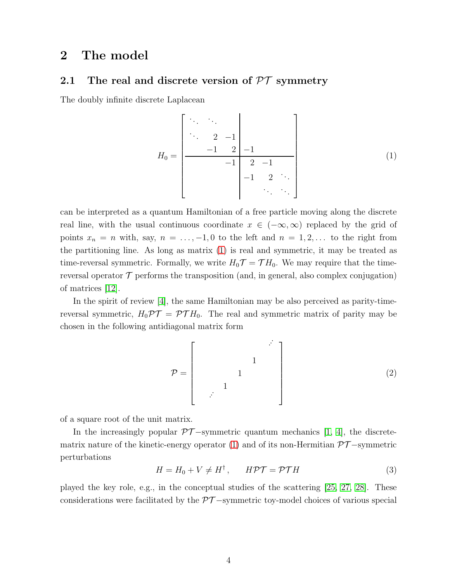## <span id="page-3-0"></span>2 The model

### 2.1 The real and discrete version of  $PT$  symmetry

The doubly infinite discrete Laplacean

<span id="page-3-1"></span>
$$
H_0 = \begin{bmatrix} \ddots & \ddots & & & \\ \ddots & 2 & -1 & & \\ & & -1 & 2 & -1 & \\ & & & -1 & 2 & -1 \\ & & & & -1 & 2 & \ddots \\ & & & & & \ddots & \ddots \end{bmatrix}
$$
 (1)

can be interpreted as a quantum Hamiltonian of a free particle moving along the discrete real line, with the usual continuous coordinate  $x \in (-\infty, \infty)$  replaced by the grid of points  $x_n = n$  with, say,  $n = \ldots, -1, 0$  to the left and  $n = 1, 2, \ldots$  to the right from the partitioning line. As long as matrix [\(1\)](#page-3-1) is real and symmetric, it may be treated as time-reversal symmetric. Formally, we write  $H_0\mathcal{T} = \mathcal{T}H_0$ . We may require that the timereversal operator  $\mathcal T$  performs the transposition (and, in general, also complex conjugation) of matrices [\[12\]](#page-25-11).

In the spirit of review [\[4\]](#page-25-3), the same Hamiltonian may be also perceived as parity-timereversal symmetric,  $H_0 \mathcal{PT} = \mathcal{PT} H_0$ . The real and symmetric matrix of parity may be chosen in the following antidiagonal matrix form

P = ˙ ˙ ˙ 1 1 1 ˙ ˙ ˙ (2)

of a square root of the unit matrix.

In the increasingly popular  $\mathcal{PT}-$ symmetric quantum mechanics [\[1,](#page-25-0) [4\]](#page-25-3), the discrete-matrix nature of the kinetic-energy operator [\(1\)](#page-3-1) and of its non-Hermitian  $\mathcal{PT}-symmetric$ perturbations

<span id="page-3-2"></span>
$$
H = H_0 + V \neq H^{\dagger}, \qquad H\mathcal{PT} = \mathcal{PT}H \tag{3}
$$

played the key role, e.g., in the conceptual studies of the scattering [\[25,](#page-26-9) [27,](#page-26-11) [28\]](#page-26-12). These considerations were facilitated by the  $\mathcal{PT}-$ symmetric toy-model choices of various special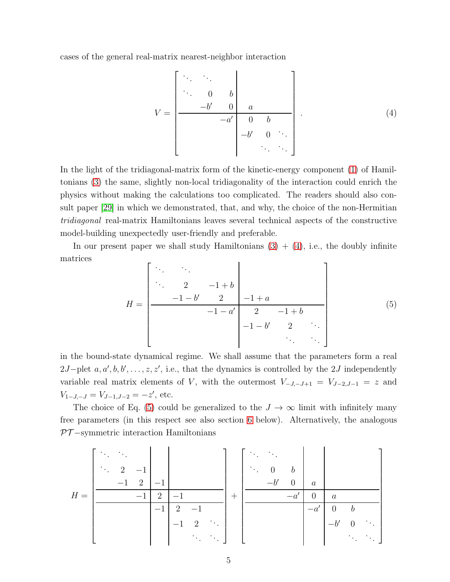cases of the general real-matrix nearest-neighbor interaction

<span id="page-4-0"></span>
$$
V = \begin{bmatrix} \ddots & \ddots & & & \\ \ddots & 0 & b & & \\ & -b' & 0 & a & & \\ & & -a' & 0 & b & \\ & & & -b' & 0 & \ddots \\ & & & & & \ddots & \ddots \end{bmatrix} . \tag{4}
$$

In the light of the tridiagonal-matrix form of the kinetic-energy component [\(1\)](#page-3-1) of Hamiltonians [\(3\)](#page-3-2) the same, slightly non-local tridiagonality of the interaction could enrich the physics without making the calculations too complicated. The readers should also consult paper [\[29\]](#page-26-13) in which we demonstrated, that, and why, the choice of the non-Hermitian tridiagonal real-matrix Hamiltonians leaves several technical aspects of the constructive model-building unexpectedly user-friendly and preferable.

In our present paper we shall study Hamiltonians  $(3) + (4)$  $(3) + (4)$ , i.e., the doubly infinite matrices

<span id="page-4-1"></span>H = . . . . . . . . . 2 −1 + b −1 − b ′ 2 −1 + a −1 − a ′ 2 −1 + b −1 − b ′ 2 . . . . . . . . . (5)

in the bound-state dynamical regime. We shall assume that the parameters form a real 2J–plet  $a, a', b, b', \ldots, z, z'$ , i.e., that the dynamics is controlled by the 2J independently variable real matrix elements of V, with the outermost  $V_{-J,-J+1} = V_{J-2,J-1} = z$  and  $V_{1-J,-J} = V_{J-1,J-2} = -z'$ , etc.

The choice of Eq. [\(5\)](#page-4-1) could be generalized to the  $J \to \infty$  limit with infinitely many free parameters (in this respect see also section [6](#page-13-0) below). Alternatively, the analogous  $PT$ -symmetric interaction Hamiltonians

H = . . . . . . . . . 2 −1 −1 2 −1 −1 2 −1 −1 2 −1 <sup>−</sup>1 2 . . . . . . . . . + . . . . . . . . . 0 b −b ′ 0 a −a ′ 0 a −a ′ 0 b −b ′ 0 . . . . . . . . .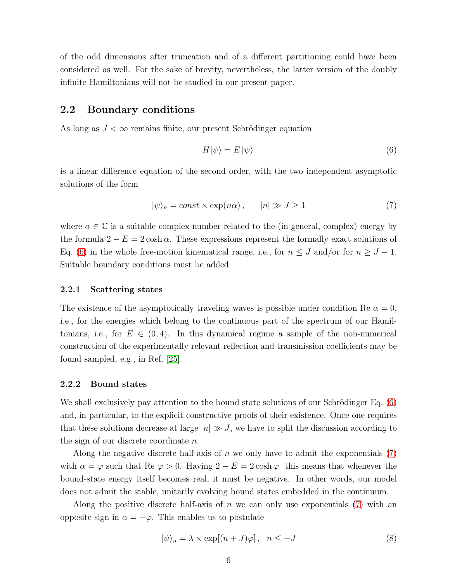of the odd dimensions after truncation and of a different partitioning could have been considered as well. For the sake of brevity, nevertheless, the latter version of the doubly infinite Hamiltonians will not be studied in our present paper.

#### 2.2 Boundary conditions

As long as  $J < \infty$  remains finite, our present Schrödinger equation

<span id="page-5-0"></span>
$$
H|\psi\rangle = E|\psi\rangle \tag{6}
$$

is a linear difference equation of the second order, with the two independent asymptotic solutions of the form

<span id="page-5-1"></span>
$$
|\psi\rangle_n = const \times \exp(n\alpha), \qquad |n| \gg J \ge 1 \tag{7}
$$

where  $\alpha \in \mathbb{C}$  is a suitable complex number related to the (in general, complex) energy by the formula  $2 - E = 2 \cosh \alpha$ . These expressions represent the formally exact solutions of Eq. [\(6\)](#page-5-0) in the whole free-motion kinematical range, i.e., for  $n \leq J$  and/or for  $n \geq J - 1$ . Suitable boundary conditions must be added.

#### 2.2.1 Scattering states

The existence of the asymptotically traveling waves is possible under condition Re  $\alpha = 0$ , i.e., for the energies which belong to the continuous part of the spectrum of our Hamiltonians, i.e., for  $E \in (0, 4)$ . In this dynamical regime a sample of the non-numerical construction of the experimentally relevant reflection and transmission coefficients may be found sampled, e.g., in Ref. [\[25\]](#page-26-9).

#### 2.2.2 Bound states

We shall exclusively pay attention to the bound state solutions of our Schrödinger Eq.  $(6)$ and, in particular, to the explicit constructive proofs of their existence. Once one requires that these solutions decrease at large  $|n| \gg J$ , we have to split the discussion according to the sign of our discrete coordinate n.

Along the negative discrete half-axis of  $n$  we only have to admit the exponentials  $(7)$ with  $\alpha = \varphi$  such that Re  $\varphi > 0$ . Having  $2 - E = 2 \cosh \varphi$  this means that whenever the bound-state energy itself becomes real, it must be negative. In other words, our model does not admit the stable, unitarily evolving bound states embedded in the continuum.

Along the positive discrete half-axis of  $n$  we can only use exponentials  $(7)$  with an opposite sign in  $\alpha = -\varphi$ . This enables us to postulate

$$
|\psi\rangle_n = \lambda \times \exp[(n+J)\varphi], \quad n \le -J
$$
\n(8)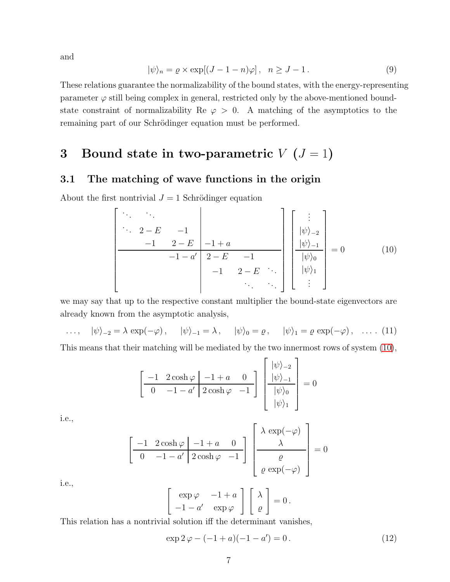and

$$
|\psi\rangle_n = \varrho \times \exp[(J - 1 - n)\varphi], \quad n \ge J - 1. \tag{9}
$$

These relations guarantee the normalizability of the bound states, with the energy-representing parameter  $\varphi$  still being complex in general, restricted only by the above-mentioned boundstate constraint of normalizability Re  $\varphi > 0$ . A matching of the asymptotics to the remaining part of our Schrödinger equation must be performed.

# <span id="page-6-0"></span>3 Bound state in two-parametric  $V$  ( $J = 1$ )

### 3.1 The matching of wave functions in the origin

About the first nontrivial  $J = 1$  Schrödinger equation

<span id="page-6-1"></span> . . . . . . . . . 2 − E −1 −1 2 − E −1 + a −1 − a ′ 2 − E −1 −1 2 − E . . . . . . . . . . . . |ψi<sup>−</sup><sup>2</sup> |ψi<sup>−</sup><sup>1</sup> |ψi<sup>0</sup> |ψi<sup>1</sup> . . . = 0 (10)

we may say that up to the respective constant multiplier the bound-state eigenvectors are already known from the asymptotic analysis,

..., 
$$
|\psi\rangle_{-2} = \lambda \exp(-\varphi)
$$
,  $|\psi\rangle_{-1} = \lambda$ ,  $|\psi\rangle_{0} = \varrho$ ,  $|\psi\rangle_{1} = \varrho \exp(-\varphi)$ , ..., (11)

This means that their matching will be mediated by the two innermost rows of system [\(10\)](#page-6-1),

$$
\left[\begin{array}{cc|c} -1 & 2\cosh\varphi & -1+a & 0 \\ \hline 0 & -1-a' & 2\cosh\varphi & -1 \end{array}\right] \left[\begin{array}{c} |\psi\rangle_{-2} \\ |\psi\rangle_{-1} \\ |\psi\rangle_{0} \\ |\psi\rangle_{1} \end{array}\right] = 0
$$

i.e.,

$$
\left[\begin{array}{cc|cc} -1 & 2\cosh\varphi & -1+a & 0 \\ \hline 0 & -1-a' & 2\cosh\varphi & -1 \end{array}\right] \left[\begin{array}{c} \lambda \exp(-\varphi) \\ \lambda \\ \hline \varrho \\ \hline \varrho \exp(-\varphi) \end{array}\right] = 0
$$

i.e.,

$$
\begin{bmatrix} \exp \varphi & -1 + a \\ -1 - a' & \exp \varphi \end{bmatrix} \begin{bmatrix} \lambda \\ \varrho \end{bmatrix} = 0.
$$

This relation has a nontrivial solution iff the determinant vanishes,

<span id="page-6-2"></span>
$$
\exp 2\,\varphi - (-1 + a)(-1 - a') = 0. \tag{12}
$$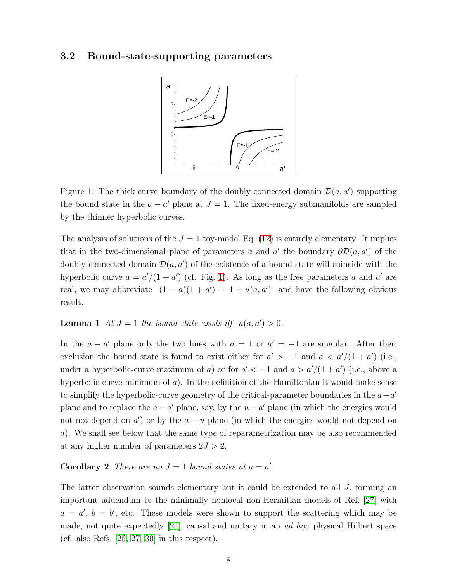#### 3.2 Bound-state-supporting parameters



<span id="page-7-0"></span>Figure 1: The thick-curve boundary of the doubly-connected domain  $\mathcal{D}(a, a')$  supporting the bound state in the  $a - a'$  plane at  $J = 1$ . The fixed-energy submanifolds are sampled by the thinner hyperbolic curves.

The analysis of solutions of the  $J = 1$  toy-model Eq. [\(12\)](#page-6-2) is entirely elementary. It implies that in the two-dimensional plane of parameters a and a' the boundary  $\partial \mathcal{D}(a, a')$  of the doubly connected domain  $\mathcal{D}(a, a')$  of the existence of a bound state will coincide with the hyperbolic curve  $a = a'/(1 + a')$  (cf. Fig. [1\)](#page-7-0). As long as the free parameters a and a' are real, we may abbreviate  $(1 - a)(1 + a') = 1 + u(a, a')$  and have the following obvious result.

#### **Lemma 1** At  $J = 1$  the bound state exists iff  $u(a, a') > 0$ .

In the  $a - a'$  plane only the two lines with  $a = 1$  or  $a' = -1$  are singular. After their exclusion the bound state is found to exist either for  $a' > -1$  and  $a < a'/(1 + a')$  (i.e., under a hyperbolic-curve maximum of a) or for  $a' < -1$  and  $a > a'/(1 + a')$  (i.e., above a hyperbolic-curve minimum of  $a$ ). In the definition of the Hamiltonian it would make sense to simplify the hyperbolic-curve geometry of the critical-parameter boundaries in the  $a-a'$ plane and to replace the  $a - a'$  plane, say, by the  $u - a'$  plane (in which the energies would not not depend on  $a'$  or by the  $a - u$  plane (in which the energies would not depend on a). We shall see below that the same type of reparametrization may be also recommended at any higher number of parameters  $2J > 2$ .

#### **Corollary 2** There are no  $J = 1$  bound states at  $a = a'$ .

The latter observation sounds elementary but it could be extended to all  $J$ , forming an important addendum to the minimally nonlocal non-Hermitian models of Ref. [\[27\]](#page-26-11) with  $a = a'$ ,  $b = b'$ , etc. These models were shown to support the scattering which may be made, not quite expectedly [\[24\]](#page-26-8), causal and unitary in an ad hoc physical Hilbert space (cf. also Refs.  $[25, 27, 30]$  $[25, 27, 30]$  $[25, 27, 30]$  in this respect).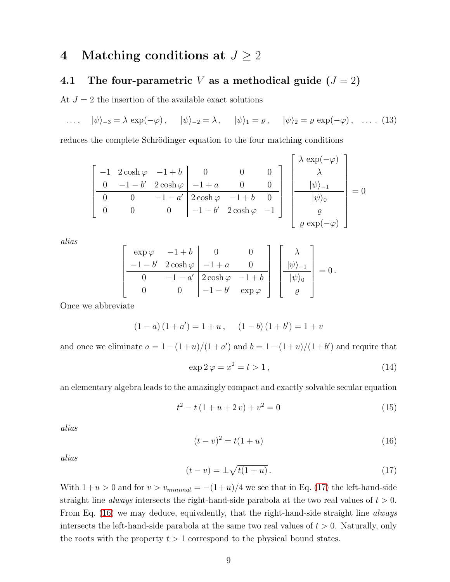## <span id="page-8-0"></span>4 Matching conditions at  $J \geq 2$

# 4.1 The four-parametric V as a methodical guide  $(J = 2)$

At  $J = 2$  the insertion of the available exact solutions

 $\ldots, \quad |\psi\rangle_{-3} = \lambda \exp(-\varphi), \quad |\psi\rangle_{-2} = \lambda, \quad |\psi\rangle_{1} = \varrho, \quad |\psi\rangle_{2} = \varrho \exp(-\varphi), \quad \ldots \quad (13)$ 

reduces the complete Schrödinger equation to the four matching conditions

$$
\begin{bmatrix}\n-1 & 2\cosh\varphi & -1 + b & 0 & 0 & 0 \\
0 & -1 - b' & 2\cosh\varphi & -1 + a & 0 & 0 \\
0 & 0 & -1 - a' & 2\cosh\varphi & -1 + b & 0 \\
0 & 0 & 0 & -1 - b' & 2\cosh\varphi & -1\n\end{bmatrix}\n\begin{bmatrix}\n\lambda \exp(-\varphi) \\
\lambda \\
|\psi\rangle_{-1} \\
|\psi\rangle_{0} \\
\varrho \\
\varrho\n\end{bmatrix} = 0
$$

alias

$$
\left[\begin{array}{c|c}\n\exp \varphi & -1 + b & 0 & 0 \\
\hline\n-1 - b' & 2 \cosh \varphi & -1 + a & 0 \\
\hline\n0 & -1 - a' & 2 \cosh \varphi & -1 + b \\
0 & 0 & -1 - b' & \exp \varphi\n\end{array}\right] \left[\begin{array}{c}\n\lambda \\
\vert \psi \rangle_{-1} \\
\hline\n\vert \psi \rangle_{0} \\
\hline\n\varphi\n\end{array}\right] = 0.
$$

Once we abbreviate

$$
(1-a)(1+a') = 1 + u, \quad (1-b)(1+b') = 1 + v
$$

and once we eliminate  $a = 1 - (1 + u)/(1 + a')$  and  $b = 1 - (1 + v)/(1 + b')$  and require that

<span id="page-8-5"></span>
$$
\exp 2\,\varphi = x^2 = t > 1\,,\tag{14}
$$

an elementary algebra leads to the amazingly compact and exactly solvable secular equation

<span id="page-8-3"></span>
$$
t^{2} - t(1 + u + 2 v) + v^{2} = 0
$$
\n(15)

alias

<span id="page-8-2"></span>
$$
(t - v)^2 = t(1 + u)
$$
\n(16)

alias

<span id="page-8-1"></span>
$$
(t - v) = \pm \sqrt{t(1 + u)}.
$$
\n(17)

<span id="page-8-4"></span>With  $1+u > 0$  and for  $v > v_{minimal} = -(1+u)/4$  we see that in Eq. [\(17\)](#page-8-1) the left-hand-side straight line *always* intersects the right-hand-side parabola at the two real values of  $t > 0$ . From Eq. [\(16\)](#page-8-2) we may deduce, equivalently, that the right-hand-side straight line *always* intersects the left-hand-side parabola at the same two real values of  $t > 0$ . Naturally, only the roots with the property  $t > 1$  correspond to the physical bound states.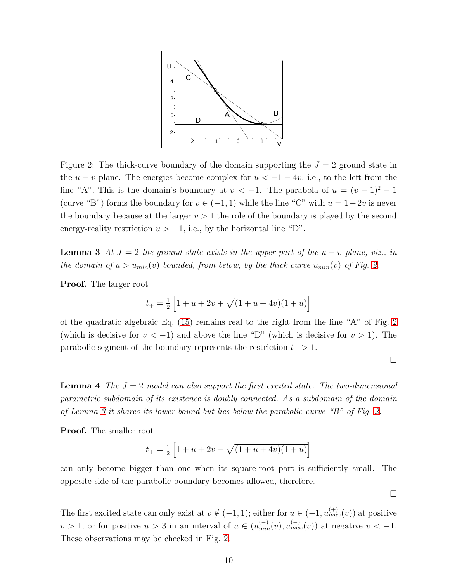

<span id="page-9-0"></span>Figure 2: The thick-curve boundary of the domain supporting the  $J = 2$  ground state in the  $u - v$  plane. The energies become complex for  $u < -1 - 4v$ , i.e., to the left from the line "A". This is the domain's boundary at  $v < -1$ . The parabola of  $u = (v - 1)^2 - 1$ (curve "B") forms the boundary for  $v \in (-1, 1)$  while the line "C" with  $u = 1-2v$  is never the boundary because at the larger  $v > 1$  the role of the boundary is played by the second energy-reality restriction  $u > -1$ , i.e., by the horizontal line "D".

**Lemma 3** At  $J = 2$  the ground state exists in the upper part of the  $u - v$  plane, viz., in the domain of  $u > u_{min}(v)$  bounded, from below, by the thick curve  $u_{min}(v)$  of Fig. [2.](#page-9-0)

Proof. The larger root

$$
t_{+} = \frac{1}{2} \left[ 1 + u + 2v + \sqrt{(1 + u + 4v)(1 + u)} \right]
$$

of the quadratic algebraic Eq. [\(15\)](#page-8-3) remains real to the right from the line "A" of Fig. [2](#page-9-0) (which is decisive for  $v < -1$ ) and above the line "D" (which is decisive for  $v > 1$ ). The parabolic segment of the boundary represents the restriction  $t_+ > 1$ .

 $\Box$ 

<span id="page-9-1"></span>**Lemma 4** The  $J = 2$  model can also support the first excited state. The two-dimensional parametric subdomain of its existence is doubly connected. As a subdomain of the domain of Lemma [3](#page-8-4) it shares its lower bound but lies below the parabolic curve "B" of Fig. [2.](#page-9-0)

Proof. The smaller root

$$
t_{+} = \frac{1}{2} \left[ 1 + u + 2v - \sqrt{(1 + u + 4v)(1 + u)} \right]
$$

can only become bigger than one when its square-root part is sufficiently small. The opposite side of the parabolic boundary becomes allowed, therefore.

 $\Box$ 

The first excited state can only exist at  $v \notin (-1, 1)$ ; either for  $u \in (-1, u_{max}^{(+)}(v))$  at positive  $v > 1$ , or for positive  $u > 3$  in an interval of  $u \in (u_{min}^{(-)}(v), u_{max}^{(-)}(v))$  at negative  $v < -1$ . These observations may be checked in Fig. [2.](#page-9-0)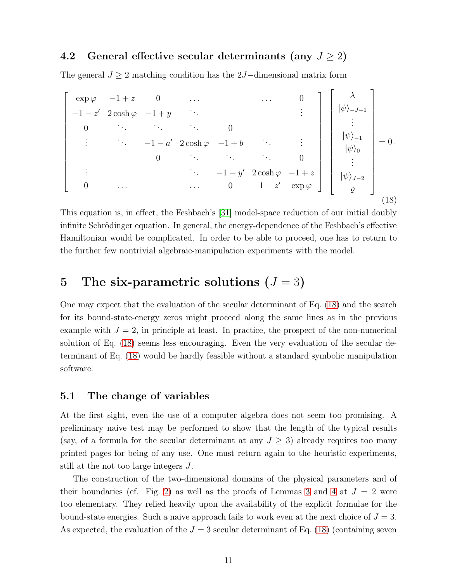### 4.2 General effective secular determinants (any  $J \ge 2$ )

The general  $J \geq 2$  matching condition has the 2J-dimensional matrix form

<span id="page-10-1"></span> $\sqrt{ }$   $\exp \varphi \quad -1+z \quad 0 \quad \dots \quad 0$  $-1-z'$  2 cosh  $\varphi$   $-1+y$   $\cdots$  :  $\begin{array}{ccc} 0 & \cdots & \cdots & 0 \end{array}$  $\therefore$  −1 − a' 2 cosh  $\varphi$  −1 + b  $\therefore$  :  $\begin{array}{ccc} 0 & \cdots & \cdots & 0 \end{array}$ :  $-1 - y'$  2 cosh  $\varphi$  −1 + z 0 ...  $0 -1 - z' \exp \varphi$ ׀  $\sqrt{ }$  λ  $|\psi\rangle_{-J+1}$ . . .  $|\psi\rangle_{-1}$  $|\psi\rangle_0$ . . .  $|\psi\rangle_{J-2}$  $\varrho$ 1  $= 0$ . (18)

This equation is, in effect, the Feshbach's [\[31\]](#page-26-15) model-space reduction of our initial doubly infinite Schrödinger equation. In general, the energy-dependence of the Feshbach's effective Hamiltonian would be complicated. In order to be able to proceed, one has to return to the further few nontrivial algebraic-manipulation experiments with the model.

## <span id="page-10-0"></span>5 The six-parametric solutions  $(J = 3)$

One may expect that the evaluation of the secular determinant of Eq. [\(18\)](#page-10-1) and the search for its bound-state-energy zeros might proceed along the same lines as in the previous example with  $J = 2$ , in principle at least. In practice, the prospect of the non-numerical solution of Eq. [\(18\)](#page-10-1) seems less encouraging. Even the very evaluation of the secular determinant of Eq. [\(18\)](#page-10-1) would be hardly feasible without a standard symbolic manipulation software.

#### 5.1 The change of variables

At the first sight, even the use of a computer algebra does not seem too promising. A preliminary naive test may be performed to show that the length of the typical results (say, of a formula for the secular determinant at any  $J \geq 3$ ) already requires too many printed pages for being of any use. One must return again to the heuristic experiments, still at the not too large integers J.

The construction of the two-dimensional domains of the physical parameters and of their boundaries (cf. Fig. [2\)](#page-9-0) as well as the proofs of Lemmas [3](#page-8-4) and [4](#page-9-1) at  $J = 2$  were too elementary. They relied heavily upon the availability of the explicit formulae for the bound-state energies. Such a naive approach fails to work even at the next choice of  $J = 3$ . As expected, the evaluation of the  $J = 3$  secular determinant of Eq. [\(18\)](#page-10-1) (containing seven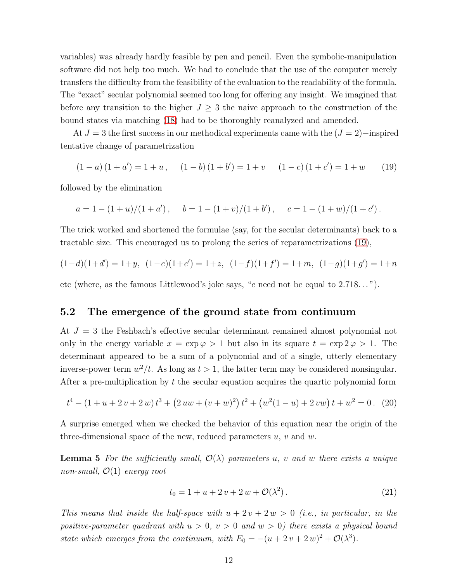variables) was already hardly feasible by pen and pencil. Even the symbolic-manipulation software did not help too much. We had to conclude that the use of the computer merely transfers the difficulty from the feasibility of the evaluation to the readability of the formula. The "exact" secular polynomial seemed too long for offering any insight. We imagined that before any transition to the higher  $J \geq 3$  the naive approach to the construction of the bound states via matching [\(18\)](#page-10-1) had to be thoroughly reanalyzed and amended.

At  $J = 3$  the first success in our methodical experiments came with the  $(J = 2)$ −inspired tentative change of parametrization

<span id="page-11-0"></span>
$$
(1-a)(1+a') = 1+u, \quad (1-b)(1+b') = 1+v \quad (1-c)(1+c') = 1+w \quad (19)
$$

followed by the elimination

$$
a = 1 - (1 + u)/(1 + a')
$$
,  $b = 1 - (1 + v)/(1 + b')$ ,  $c = 1 - (1 + w)/(1 + c')$ .

The trick worked and shortened the formulae (say, for the secular determinants) back to a tractable size. This encouraged us to prolong the series of reparametrizations [\(19\)](#page-11-0),

$$
(1-d)(1+d') = 1+y, (1-e)(1+e') = 1+z, (1-f)(1+f') = 1+m, (1-g)(1+g') = 1+n
$$

etc (where, as the famous Littlewood's joke says, "e need not be equal to 2.718. . . ").

#### 5.2 The emergence of the ground state from continuum

At  $J = 3$  the Feshbach's effective secular determinant remained almost polynomial not only in the energy variable  $x = \exp \varphi > 1$  but also in its square  $t = \exp 2\varphi > 1$ . The determinant appeared to be a sum of a polynomial and of a single, utterly elementary inverse-power term  $w^2/t$ . As long as  $t > 1$ , the latter term may be considered nonsingular. After a pre-multiplication by  $t$  the secular equation acquires the quartic polynomial form

<span id="page-11-1"></span>
$$
t4 - (1 + u + 2 v + 2 w) t3 + (2 u w + (v + w)2) t2 + (w2(1 – u) + 2 v w) t + w2 = 0. (20)
$$

A surprise emerged when we checked the behavior of this equation near the origin of the three-dimensional space of the new, reduced parameters  $u, v$  and  $w$ .

**Lemma 5** For the sufficiently small,  $\mathcal{O}(\lambda)$  parameters u, v and w there exists a unique non-small,  $\mathcal{O}(1)$  energy root

$$
t_0 = 1 + u + 2v + 2w + \mathcal{O}(\lambda^2).
$$
 (21)

This means that inside the half-space with  $u + 2v + 2w > 0$  (i.e., in particular, in the positive-parameter quadrant with  $u > 0$ ,  $v > 0$  and  $w > 0$ ) there exists a physical bound state which emerges from the continuum, with  $E_0 = -(u + 2v + 2w)^2 + \mathcal{O}(\lambda^3)$ .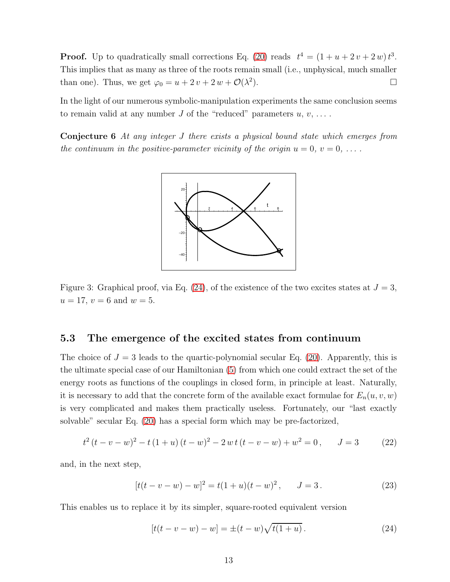**Proof.** Up to quadratically small corrections Eq. [\(20\)](#page-11-1) reads  $t^4 = (1 + u + 2v + 2w)t^3$ . This implies that as many as three of the roots remain small (i.e., unphysical, much smaller than one). Thus, we get  $\varphi_0 = u + 2v + 2w + \mathcal{O}(\lambda^2)$ ).  $\qquad \qquad \Box$ 

In the light of our numerous symbolic-manipulation experiments the same conclusion seems to remain valid at any number J of the "reduced" parameters  $u, v, \ldots$ .

Conjecture 6 At any integer J there exists a physical bound state which emerges from the continuum in the positive-parameter vicinity of the origin  $u = 0, v = 0, \ldots$ .



<span id="page-12-1"></span>Figure 3: Graphical proof, via Eq. [\(24\)](#page-12-0), of the existence of the two excites states at  $J=3$ ,  $u = 17, v = 6$  and  $w = 5$ .

#### 5.3 The emergence of the excited states from continuum

The choice of  $J = 3$  leads to the quartic-polynomial secular Eq. [\(20\)](#page-11-1). Apparently, this is the ultimate special case of our Hamiltonian [\(5\)](#page-4-1) from which one could extract the set of the energy roots as functions of the couplings in closed form, in principle at least. Naturally, it is necessary to add that the concrete form of the available exact formulae for  $E_n(u, v, w)$ is very complicated and makes them practically useless. Fortunately, our "last exactly solvable" secular Eq. [\(20\)](#page-11-1) has a special form which may be pre-factorized,

$$
t^{2}(t-v-w)^{2} - t(1+u)(t-w)^{2} - 2wt(t-v-w) + w^{2} = 0, \t J = 3 \t (22)
$$

and, in the next step,

$$
[t(t - v - w) - w]^2 = t(1 + u)(t - w)^2, \qquad J = 3.
$$
 (23)

This enables us to replace it by its simpler, square-rooted equivalent version

<span id="page-12-0"></span>
$$
[t(t - v - w) - w] = \pm (t - w) \sqrt{t(1 + u)}.
$$
\n(24)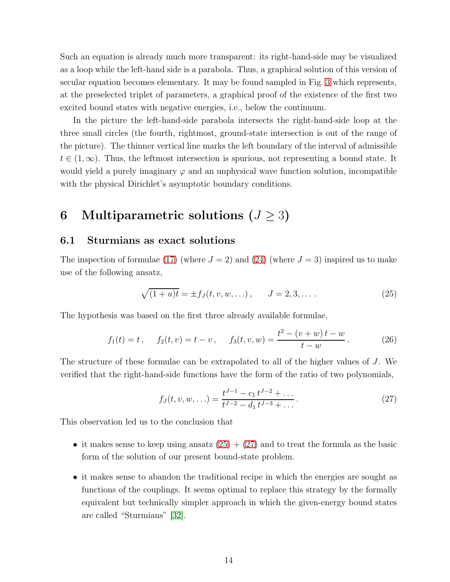Such an equation is already much more transparent: its right-hand-side may be visualized as a loop while the left-hand side is a parabola. Thus, a graphical solution of this version of secular equation becomes elementary. It may be found sampled in Fig. [3](#page-12-1) which represents, at the preselected triplet of parameters, a graphical proof of the existence of the first two excited bound states with negative energies, i.e., below the continuum.

In the picture the left-hand-side parabola intersects the right-hand-side loop at the three small circles (the fourth, rightmost, ground-state intersection is out of the range of the picture). The thinner vertical line marks the left boundary of the interval of admissible  $t \in (1,\infty)$ . Thus, the leftmost intersection is spurious, not representing a bound state. It would yield a purely imaginary  $\varphi$  and an unphysical wave function solution, incompatible with the physical Dirichlet's asymptotic boundary conditions.

# <span id="page-13-0"></span>6 Multiparametric solutions  $(J \geq 3)$

#### 6.1 Sturmians as exact solutions

The inspection of formulae [\(17\)](#page-8-1) (where  $J = 2$ ) and [\(24\)](#page-12-0) (where  $J = 3$ ) inspired us to make use of the following ansatz,

<span id="page-13-1"></span>
$$
\sqrt{(1+u)t} = \pm f_J(t, v, w, \ldots), \qquad J = 2, 3, \ldots.
$$
 (25)

The hypothesis was based on the first three already available formulae,

$$
f_1(t) = t
$$
,  $f_2(t, v) = t - v$ ,  $f_3(t, v, w) = \frac{t^2 - (v + w)t - w}{t - w}$ . (26)

The structure of these formulae can be extrapolated to all of the higher values of J. We verified that the right-hand-side functions have the form of the ratio of two polynomials,

<span id="page-13-2"></span>
$$
f_J(t, v, w, \ldots) = \frac{t^{J-1} - c_1 t^{J-2} + \ldots}{t^{J-2} - d_1 t^{J-3} + \ldots}.
$$
\n(27)

This observation led us to the conclusion that

- it makes sense to keep using ansatz  $(25) + (27)$  $(25) + (27)$  and to treat the formula as the basic form of the solution of our present bound-state problem.
- it makes sense to abandon the traditional recipe in which the energies are sought as functions of the couplings. It seems optimal to replace this strategy by the formally equivalent but technically simpler approach in which the given-energy bound states are called "Sturmians" [\[32\]](#page-27-0).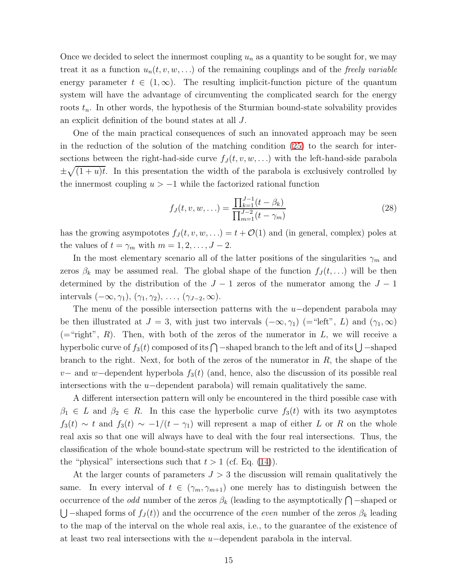Once we decided to select the innermost coupling  $u_n$  as a quantity to be sought for, we may treat it as a function  $u_n(t, v, w, ...)$  of the remaining couplings and of the freely variable energy parameter  $t \in (1,\infty)$ . The resulting implicit-function picture of the quantum system will have the advantage of circumventing the complicated search for the energy roots  $t_n$ . In other words, the hypothesis of the Sturmian bound-state solvability provides an explicit definition of the bound states at all J.

One of the main practical consequences of such an innovated approach may be seen in the reduction of the solution of the matching condition [\(25\)](#page-13-1) to the search for intersections between the right-had-side curve  $f_J(t, v, w, ...)$  with the left-hand-side parabola  $\pm\sqrt{(1+u)t}$ . In this presentation the width of the parabola is exclusively controlled by the innermost coupling  $u > -1$  while the factorized rational function

$$
f_J(t, v, w, \ldots) = \frac{\prod_{k=1}^{J-1} (t - \beta_k)}{\prod_{m=1}^{J-2} (t - \gamma_m)}
$$
(28)

has the growing asympototes  $f_J(t, v, w, ...) = t + \mathcal{O}(1)$  and (in general, complex) poles at the values of  $t = \gamma_m$  with  $m = 1, 2, \ldots, J - 2$ .

In the most elementary scenario all of the latter positions of the singularities  $\gamma_m$  and zeros  $\beta_k$  may be assumed real. The global shape of the function  $f_J(t, \ldots)$  will be then determined by the distribution of the  $J-1$  zeros of the numerator among the  $J-1$ intervals  $(-\infty, \gamma_1), (\gamma_1, \gamma_2), \ldots, (\gamma_{J-2}, \infty)$ .

The menu of the possible intersection patterns with the  $u$ -dependent parabola may be then illustrated at  $J = 3$ , with just two intervals  $(-\infty, \gamma_1)$  (= "left", L) and  $(\gamma_1, \infty)$  $($ ="right", R). Then, with both of the zeros of the numerator in L, we will receive a hyperbolic curve of  $f_3(t)$  composed of its  $\bigcap$  -shaped branch to the left and of its  $\bigcup$  -shaped branch to the right. Next, for both of the zeros of the numerator in  $R$ , the shape of the v– and w−dependent hyperbola  $f_3(t)$  (and, hence, also the discussion of its possible real intersections with the  $u$ −dependent parabola) will remain qualitatively the same.

A different intersection pattern will only be encountered in the third possible case with  $\beta_1 \in L$  and  $\beta_2 \in R$ . In this case the hyperbolic curve  $f_3(t)$  with its two asymptotes  $f_3(t) \sim t$  and  $f_3(t) \sim -1/(t - \gamma_1)$  will represent a map of either L or R on the whole real axis so that one will always have to deal with the four real intersections. Thus, the classification of the whole bound-state spectrum will be restricted to the identification of the "physical" intersections such that  $t > 1$  (cf. Eq. [\(14\)](#page-8-5)).

At the larger counts of parameters  $J > 3$  the discussion will remain qualitatively the same. In every interval of  $t \in (\gamma_m, \gamma_{m+1})$  one merely has to distinguish between the occurrence of the *odd* number of the zeros  $\beta_k$  (leading to the asymptotically  $\bigcap$  -shaped or  $\bigcup$  –shaped forms of  $f_J(t)$  and the occurrence of the even number of the zeros  $\beta_k$  leading to the map of the interval on the whole real axis, i.e., to the guarantee of the existence of at least two real intersections with the u−dependent parabola in the interval.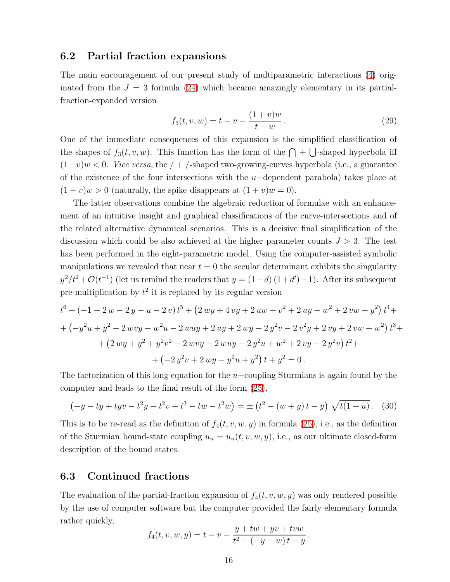#### 6.2 Partial fraction expansions

The main encouragement of our present study of multiparametric interactions [\(4\)](#page-4-0) originated from the  $J = 3$  formula [\(24\)](#page-12-0) which became amazingly elementary in its partialfraction-expanded version

$$
f_3(t, v, w) = t - v - \frac{(1 + v)w}{t - w}.
$$
\n(29)

One of the immediate consequences of this expansion is the simplified classification of the shapes of  $f_3(t, v, w)$ . This function has the form of the  $\bigcap + \bigcup$ -shaped hyperbola iff  $(1+v)w < 0$ . *Vice versa*, the  $/ + /$ -shaped two-growing-curves hyperbola (i.e., a guarantee of the existence of the four intersections with the  $u$ -dependent parabola) takes place at  $(1 + v)w > 0$  (naturally, the spike disappears at  $(1 + v)w = 0$ ).

The latter observations combine the algebraic reduction of formulae with an enhancement of an intuitive insight and graphical classifications of the curve-intersections and of the related alternative dynamical scenarios. This is a decisive final simplification of the discussion which could be also achieved at the higher parameter counts  $J > 3$ . The test has been performed in the eight-parametric model. Using the computer-assisted symbolic manipulations we revealed that near  $t = 0$  the secular determinant exhibits the singularity  $y^2/t^2+\mathcal{O}(t^{-1})$  (let us remind the readers that  $y=(1-d)(1+d')-1$ ). After its subsequent pre-multiplication by  $t^2$  it is replaced by its regular version

$$
t^{6} + (-1 - 2 w - 2 y - u - 2 v) t^{5} + (2 w y + 4 v y + 2 u w + v^{2} + 2 u y + w^{2} + 2 v w + y^{2}) t^{4} +
$$
  
+ 
$$
(-y^{2} u + y^{2} - 2 w v y - w^{2} u - 2 w u y + 2 u y + 2 w y - 2 y^{2} v - 2 v^{2} y + 2 v y + 2 v w + w^{2}) t^{3} +
$$
  
+ 
$$
(2 w y + y^{2} + y^{2} v^{2} - 2 w v y - 2 w u y - 2 y^{2} u + w^{2} + 2 v y - 2 y^{2} v) t^{2} +
$$
  
+ 
$$
(-2 y^{2} v + 2 w y - y^{2} u + y^{2}) t + y^{2} = 0.
$$

The factorization of this long equation for the  $u$ −coupling Sturmians is again found by the computer and leads to the final result of the form [\(25\)](#page-13-1),

<span id="page-15-0"></span>
$$
\left(-y - ty + tyv - t^2y - t^2v + t^3 - tw - t^2w\right) = \pm\left(t^2 - (w+y)t - y\right)\sqrt{t(1+u)}.
$$
 (30)

This is to be re-read as the definition of  $f_4(t, v, w, y)$  in formula [\(25\)](#page-13-1), i.e., as the definition of the Sturmian bound-state coupling  $u_n = u_n(t, v, w, y)$ , i.e., as our ultimate closed-form description of the bound states.

#### 6.3 Continued fractions

The evaluation of the partial-fraction expansion of  $f_4(t, v, w, y)$  was only rendered possible by the use of computer software but the computer provided the fairly elementary formula rather quickly,

$$
f_4(t, v, w, y) = t - v - \frac{y + tw + yv + tvw}{t^2 + (-y - w)t - y}
$$

.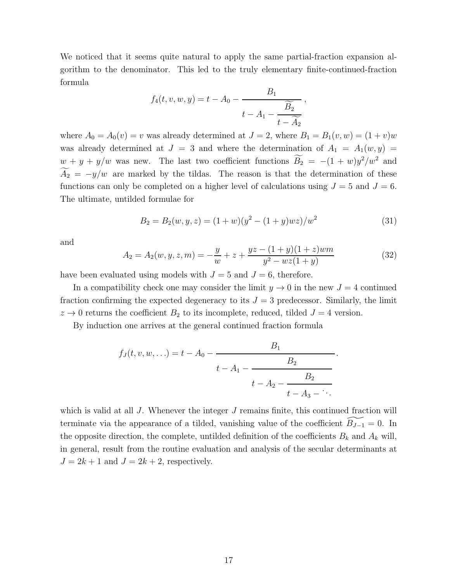We noticed that it seems quite natural to apply the same partial-fraction expansion algorithm to the denominator. This led to the truly elementary finite-continued-fraction formula

$$
f_4(t, v, w, y) = t - A_0 - \frac{B_1}{t - A_1 - \frac{\widetilde{B_2}}{t - \widetilde{A_2}}},
$$

where  $A_0 = A_0(v) = v$  was already determined at  $J = 2$ , where  $B_1 = B_1(v, w) = (1 + v)w$ was already determined at  $J = 3$  and where the determination of  $A_1 = A_1(w, y)$  $w + y + y/w$  was new. The last two coefficient functions  $B_2 = -(1 + w)y^2/w^2$  and  $A_2 = -y/w$  are marked by the tildas. The reason is that the determination of these functions can only be completed on a higher level of calculations using  $J = 5$  and  $J = 6$ . The ultimate, untilded formulae for

<span id="page-16-0"></span>
$$
B_2 = B_2(w, y, z) = (1 + w)(y^2 - (1 + y)wz)/w^2
$$
\n(31)

.

and

<span id="page-16-1"></span>
$$
A_2 = A_2(w, y, z, m) = -\frac{y}{w} + z + \frac{yz - (1 + y)(1 + z)wm}{y^2 - wz(1 + y)}
$$
(32)

have been evaluated using models with  $J = 5$  and  $J = 6$ , therefore.

In a compatibility check one may consider the limit  $y \to 0$  in the new  $J = 4$  continued fraction confirming the expected degeneracy to its  $J = 3$  predecessor. Similarly, the limit  $z \to 0$  returns the coefficient  $B_2$  to its incomplete, reduced, tilded  $J = 4$  version.

By induction one arrives at the general continued fraction formula

$$
f_J(t, v, w, \ldots) = t - A_0 - \cfrac{B_1}{t - A_1 - \cfrac{B_2}{t - A_2 - \cfrac{B_2}{t - A_3 - \ddots}}}
$$

which is valid at all  $J$ . Whenever the integer  $J$  remains finite, this continued fraction will terminate via the appearance of a tilded, vanishing value of the coefficient  $\widetilde{B_{J-1}} = 0$ . In the opposite direction, the complete, untilded definition of the coefficients  $B_k$  and  $A_k$  will, in general, result from the routine evaluation and analysis of the secular determinants at  $J = 2k + 1$  and  $J = 2k + 2$ , respectively.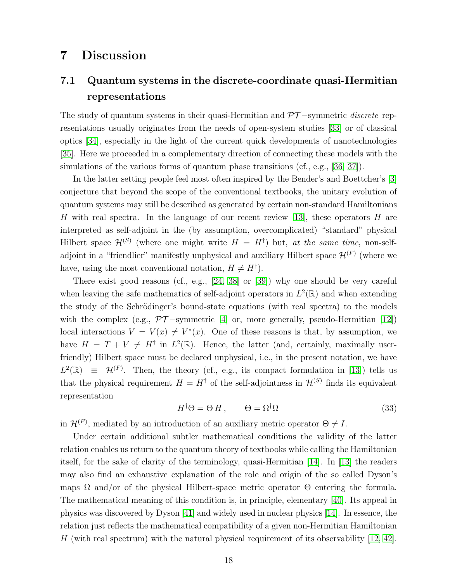## <span id="page-17-0"></span>7 Discussion

# 7.1 Quantum systems in the discrete-coordinate quasi-Hermitian representations

The study of quantum systems in their quasi-Hermitian and  $\mathcal{PT}-$ symmetric *discrete* representations usually originates from the needs of open-system studies [\[33\]](#page-27-1) or of classical optics [\[34\]](#page-27-2), especially in the light of the current quick developments of nanotechnologies [\[35\]](#page-27-3). Here we proceeded in a complementary direction of connecting these models with the simulations of the various forms of quantum phase transitions (cf., e.g., [\[36,](#page-27-4) [37\]](#page-27-5)).

In the latter setting people feel most often inspired by the Bender's and Boettcher's [\[3\]](#page-25-2) conjecture that beyond the scope of the conventional textbooks, the unitary evolution of quantum systems may still be described as generated by certain non-standard Hamiltonians H with real spectra. In the language of our recent review [\[13\]](#page-25-12), these operators H are interpreted as self-adjoint in the (by assumption, overcomplicated) "standard" physical Hilbert space  $\mathcal{H}^{(S)}$  (where one might write  $H = H^{\ddagger}$ ) but, at the same time, non-selfadjoint in a "friendlier" manifestly unphysical and auxiliary Hilbert space  $\mathcal{H}^{(F)}$  (where we have, using the most conventional notation,  $H \neq H^{\dagger}$ ).

There exist good reasons (cf., e.g., [\[24,](#page-26-8) [38\]](#page-27-6) or [\[39\]](#page-27-7)) why one should be very careful when leaving the safe mathematics of self-adjoint operators in  $L^2(\mathbb{R})$  and when extending the study of the Schrödinger's bound-state equations (with real spectra) to the models with the complex (e.g.,  $\mathcal{PT}-symmetric$  [\[4\]](#page-25-3) or, more generally, pseudo-Hermitian [\[12\]](#page-25-11)) local interactions  $V = V(x) \neq V^*(x)$ . One of these reasons is that, by assumption, we have  $H = T + V \neq H^{\dagger}$  in  $L^2(\mathbb{R})$ . Hence, the latter (and, certainly, maximally userfriendly) Hilbert space must be declared unphysical, i.e., in the present notation, we have  $L^2(\mathbb{R}) \equiv \mathcal{H}^{(F)}$ . Then, the theory (cf., e.g., its compact formulation in [\[13\]](#page-25-12)) tells us that the physical requirement  $H = H^{\ddagger}$  of the self-adjointness in  $\mathcal{H}^{(S)}$  finds its equivalent representation

<span id="page-17-1"></span>
$$
H^{\dagger} \Theta = \Theta H, \qquad \Theta = \Omega^{\dagger} \Omega \tag{33}
$$

in  $\mathcal{H}^{(F)}$ , mediated by an introduction of an auxiliary metric operator  $\Theta \neq I$ .

Under certain additional subtler mathematical conditions the validity of the latter relation enables us return to the quantum theory of textbooks while calling the Hamiltonian itself, for the sake of clarity of the terminology, quasi-Hermitian [\[14\]](#page-25-13). In [\[13\]](#page-25-12) the readers may also find an exhaustive explanation of the role and origin of the so called Dyson's maps  $\Omega$  and/or of the physical Hilbert-space metric operator  $\Theta$  entering the formula. The mathematical meaning of this condition is, in principle, elementary [\[40\]](#page-27-8). Its appeal in physics was discovered by Dyson [\[41\]](#page-27-9) and widely used in nuclear physics [\[14\]](#page-25-13). In essence, the relation just reflects the mathematical compatibility of a given non-Hermitian Hamiltonian H (with real spectrum) with the natural physical requirement of its observability  $[12, 42]$  $[12, 42]$ .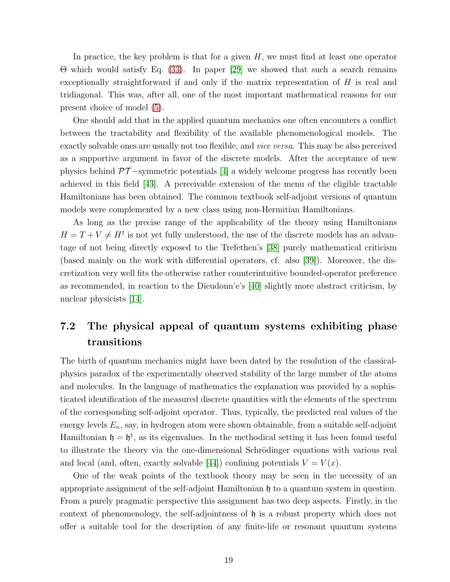In practice, the key problem is that for a given  $H$ , we must find at least one operator Θ which would satisfy Eq. [\(33\)](#page-17-1). In paper [\[29\]](#page-26-13) we showed that such a search remains exceptionally straightforward if and only if the matrix representation of  $H$  is real and tridiagonal. This was, after all, one of the most important mathematical reasons for our present choice of model [\(5\)](#page-4-1).

One should add that in the applied quantum mechanics one often encounters a conflict between the tractability and flexibility of the available phenomenological models. The exactly solvable ones are usually not too flexible, and *vice versa*. This may be also perceived as a supportive argument in favor of the discrete models. After the acceptance of new physics behind  $\mathcal{PT}-symmetric$  potentials [\[4\]](#page-25-3) a widely welcome progress has recently been achieved in this field [\[43\]](#page-28-0). A perceivable extension of the menu of the eligible tractable Hamiltonians has been obtained. The common textbook self-adjoint versions of quantum models were complemented by a new class using non-Hermitian Hamiltonians.

As long as the precise range of the applicability of the theory using Hamiltonians  $H = T + V \neq H^{\dagger}$  is not yet fully understood, the use of the discrete models has an advantage of not being directly exposed to the Trefethen's [\[38\]](#page-27-6) purely mathematical criticism (based mainly on the work with differential operators, cf. also [\[39\]](#page-27-7)). Moreover, the discretization very well fits the otherwise rather counterintuitive bounded-operator preference as recommended, in reaction to the Dieudonn'e's [\[40\]](#page-27-8) slightly more abstract criticism, by nuclear physicists [\[14\]](#page-25-13).

# 7.2 The physical appeal of quantum systems exhibiting phase transitions

The birth of quantum mechanics might have been dated by the resolution of the classicalphysics paradox of the experimentally observed stability of the large number of the atoms and molecules. In the language of mathematics the explanation was provided by a sophisticated identification of the measured discrete quantities with the elements of the spectrum of the corresponding self-adjoint operator. Thus, typically, the predicted real values of the energy levels  $E_n$ , say, in hydrogen atom were shown obtainable, from a suitable self-adjoint Hamiltonian  $\mathfrak{h} = \mathfrak{h}^{\dagger}$ , as its eigenvalues. In the methodical setting it has been found useful to illustrate the theory via the one-dimensional Schrödinger equations with various real and local (and, often, exactly solvable [\[44\]](#page-28-1)) confining potentials  $V = V(x)$ .

One of the weak points of the textbook theory may be seen in the necessity of an appropriate assignment of the self-adjoint Hamiltonian  $\mathfrak h$  to a quantum system in question. From a purely pragmatic perspective this assignment has two deep aspects. Firstly, in the context of phenomenology, the self-adjointness of  $\mathfrak h$  is a robust property which does not offer a suitable tool for the description of any finite-life or resonant quantum systems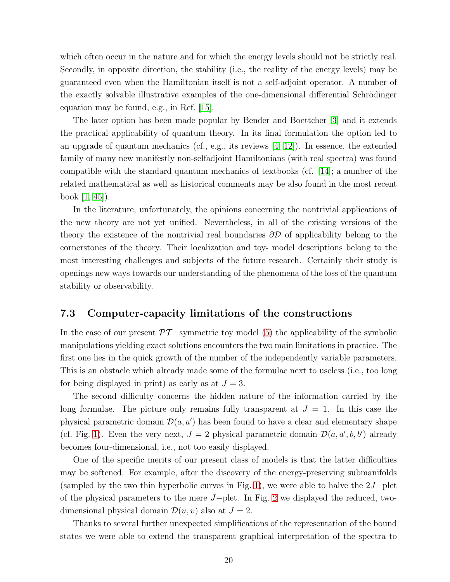which often occur in the nature and for which the energy levels should not be strictly real. Secondly, in opposite direction, the stability (i.e., the reality of the energy levels) may be guaranteed even when the Hamiltonian itself is not a self-adjoint operator. A number of the exactly solvable illustrative examples of the one-dimensional differential Schrödinger equation may be found, e.g., in Ref. [\[15\]](#page-25-14).

The later option has been made popular by Bender and Boettcher [\[3\]](#page-25-2) and it extends the practical applicability of quantum theory. In its final formulation the option led to an upgrade of quantum mechanics (cf., e.g., its reviews  $[4, 12]$  $[4, 12]$ ). In essence, the extended family of many new manifestly non-selfadjoint Hamiltonians (with real spectra) was found compatible with the standard quantum mechanics of textbooks (cf. [\[14\]](#page-25-13); a number of the related mathematical as well as historical comments may be also found in the most recent book [\[1,](#page-25-0) [45\]](#page-28-2)).

In the literature, unfortunately, the opinions concerning the nontrivial applications of the new theory are not yet unified. Nevertheless, in all of the existing versions of the theory the existence of the nontrivial real boundaries  $\partial \mathcal{D}$  of applicability belong to the cornerstones of the theory. Their localization and toy- model descriptions belong to the most interesting challenges and subjects of the future research. Certainly their study is openings new ways towards our understanding of the phenomena of the loss of the quantum stability or observability.

#### 7.3 Computer-capacity limitations of the constructions

In the case of our present  $\mathcal{PT}-$ symmetric toy model [\(5\)](#page-4-1) the applicability of the symbolic manipulations yielding exact solutions encounters the two main limitations in practice. The first one lies in the quick growth of the number of the independently variable parameters. This is an obstacle which already made some of the formulae next to useless (i.e., too long for being displayed in print) as early as at  $J = 3$ .

The second difficulty concerns the hidden nature of the information carried by the long formulae. The picture only remains fully transparent at  $J = 1$ . In this case the physical parametric domain  $\mathcal{D}(a, a')$  has been found to have a clear and elementary shape (cf. Fig. [1\)](#page-7-0). Even the very next,  $J = 2$  physical parametric domain  $\mathcal{D}(a, a', b, b')$  already becomes four-dimensional, i.e., not too easily displayed.

One of the specific merits of our present class of models is that the latter difficulties may be softened. For example, after the discovery of the energy-preserving submanifolds (sampled by the two thin hyperbolic curves in Fig. [1\)](#page-7-0), we were able to halve the  $2J-plet$ of the physical parameters to the mere J−plet. In Fig. [2](#page-9-0) we displayed the reduced, twodimensional physical domain  $\mathcal{D}(u, v)$  also at  $J = 2$ .

Thanks to several further unexpected simplifications of the representation of the bound states we were able to extend the transparent graphical interpretation of the spectra to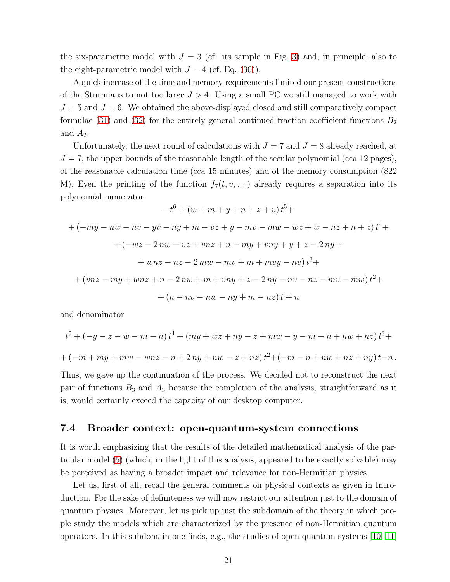the six-parametric model with  $J = 3$  (cf. its sample in Fig. [3\)](#page-12-1) and, in principle, also to the eight-parametric model with  $J = 4$  (cf. Eq. [\(30\)](#page-15-0)).

A quick increase of the time and memory requirements limited our present constructions of the Sturmians to not too large  $J > 4$ . Using a small PC we still managed to work with  $J = 5$  and  $J = 6$ . We obtained the above-displayed closed and still comparatively compact formulae [\(31\)](#page-16-0) and [\(32\)](#page-16-1) for the entirely general continued-fraction coefficient functions  $B_2$ and  $A_2$ .

Unfortunately, the next round of calculations with  $J = 7$  and  $J = 8$  already reached, at  $J = 7$ , the upper bounds of the reasonable length of the secular polynomial (cca 12 pages), of the reasonable calculation time (cca 15 minutes) and of the memory consumption (822 M). Even the printing of the function  $f_7(t, v, \ldots)$  already requires a separation into its polynomial numerator

$$
-t^{6} + (w + m + y + n + z + v)t^{5} +
$$
  
+ 
$$
(-my - nw - nv - yv - ny + m - vz + y - mv - mw - wz + w - nz + n + z)t^{4} +
$$
  
+ 
$$
(-wz - 2nw - vz + vnz + n - my + vny + y + z - 2ny +
$$
  
+ 
$$
wnz - nz - 2mw - mv + m + mvy - nv)t^{3} +
$$
  
+ 
$$
(vnz - my + wnz + n - 2nw + m + vny + z - 2ny - nv - nz - mv - mw)t^{2} +
$$

$$
+(n-nv-nw-ny+m-nz)t+n
$$

and denominator

$$
t^{5} + (-y - z - w - m - n)t^{4} + (my + wz + ny - z + mw - y - m - n + nw + nz)t^{3} +
$$
  
+ 
$$
(-m + my + mw - wnz - n + 2ny + nw - z + nz)t^{2} + (-m - n + nw + nz + ny)t - n.
$$

Thus, we gave up the continuation of the process. We decided not to reconstruct the next pair of functions  $B_3$  and  $A_3$  because the completion of the analysis, straightforward as it is, would certainly exceed the capacity of our desktop computer.

#### 7.4 Broader context: open-quantum-system connections

It is worth emphasizing that the results of the detailed mathematical analysis of the particular model [\(5\)](#page-4-1) (which, in the light of this analysis, appeared to be exactly solvable) may be perceived as having a broader impact and relevance for non-Hermitian physics.

Let us, first of all, recall the general comments on physical contexts as given in Introduction. For the sake of definiteness we will now restrict our attention just to the domain of quantum physics. Moreover, let us pick up just the subdomain of the theory in which people study the models which are characterized by the presence of non-Hermitian quantum operators. In this subdomain one finds, e.g., the studies of open quantum systems [\[10,](#page-25-9) [11\]](#page-25-10)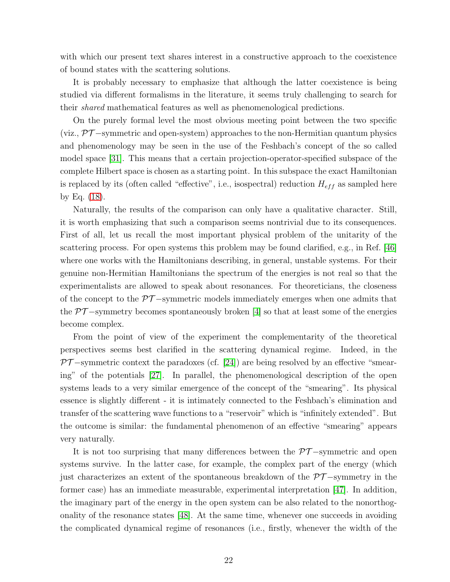with which our present text shares interest in a constructive approach to the coexistence of bound states with the scattering solutions.

It is probably necessary to emphasize that although the latter coexistence is being studied via different formalisms in the literature, it seems truly challenging to search for their shared mathematical features as well as phenomenological predictions.

On the purely formal level the most obvious meeting point between the two specific (viz.,  $\mathcal{PT}-$ symmetric and open-system) approaches to the non-Hermitian quantum physics and phenomenology may be seen in the use of the Feshbach's concept of the so called model space [\[31\]](#page-26-15). This means that a certain projection-operator-specified subspace of the complete Hilbert space is chosen as a starting point. In this subspace the exact Hamiltonian is replaced by its (often called "effective", i.e., isospectral) reduction  $H_{eff}$  as sampled here by Eq. [\(18\)](#page-10-1).

Naturally, the results of the comparison can only have a qualitative character. Still, it is worth emphasizing that such a comparison seems nontrivial due to its consequences. First of all, let us recall the most important physical problem of the unitarity of the scattering process. For open systems this problem may be found clarified, e.g., in Ref. [\[46\]](#page-28-3) where one works with the Hamiltonians describing, in general, unstable systems. For their genuine non-Hermitian Hamiltonians the spectrum of the energies is not real so that the experimentalists are allowed to speak about resonances. For theoreticians, the closeness of the concept to the  $\mathcal{PT}-$ symmetric models immediately emerges when one admits that the  $PT$ -symmetry becomes spontaneously broken [\[4\]](#page-25-3) so that at least some of the energies become complex.

From the point of view of the experiment the complementarity of the theoretical perspectives seems best clarified in the scattering dynamical regime. Indeed, in the  $PT$  –symmetric context the paradoxes (cf. [\[24\]](#page-26-8)) are being resolved by an effective "smearing" of the potentials [\[27\]](#page-26-11). In parallel, the phenomenological description of the open systems leads to a very similar emergence of the concept of the "smearing". Its physical essence is slightly different - it is intimately connected to the Feshbach's elimination and transfer of the scattering wave functions to a "reservoir" which is "infinitely extended". But the outcome is similar: the fundamental phenomenon of an effective "smearing" appears very naturally.

It is not too surprising that many differences between the  $\mathcal{PT}-symmetric$  and open systems survive. In the latter case, for example, the complex part of the energy (which just characterizes an extent of the spontaneous breakdown of the  $\mathcal{PT}-symmetry$  in the former case) has an immediate measurable, experimental interpretation [\[47\]](#page-28-4). In addition, the imaginary part of the energy in the open system can be also related to the nonorthogonality of the resonance states [\[48\]](#page-28-5). At the same time, whenever one succeeds in avoiding the complicated dynamical regime of resonances (i.e., firstly, whenever the width of the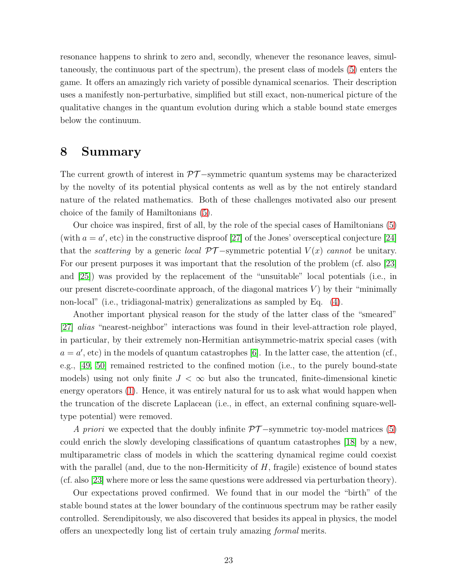resonance happens to shrink to zero and, secondly, whenever the resonance leaves, simultaneously, the continuous part of the spectrum), the present class of models [\(5\)](#page-4-1) enters the game. It offers an amazingly rich variety of possible dynamical scenarios. Their description uses a manifestly non-perturbative, simplified but still exact, non-numerical picture of the qualitative changes in the quantum evolution during which a stable bound state emerges below the continuum.

### <span id="page-22-0"></span>8 Summary

The current growth of interest in  $\mathcal{PT}-$ symmetric quantum systems may be characterized by the novelty of its potential physical contents as well as by the not entirely standard nature of the related mathematics. Both of these challenges motivated also our present choice of the family of Hamiltonians [\(5\)](#page-4-1).

Our choice was inspired, first of all, by the role of the special cases of Hamiltonians [\(5\)](#page-4-1) (with  $a = a'$ , etc) in the constructive disproof [\[27\]](#page-26-11) of the Jones' oversceptical conjecture [\[24\]](#page-26-8) that the *scattering* by a generic *local*  $\mathcal{PT}-symmetric$  potential  $V(x)$  cannot be unitary. For our present purposes it was important that the resolution of the problem (cf. also [\[23\]](#page-26-7) and [\[25\]](#page-26-9)) was provided by the replacement of the "unsuitable" local potentials (i.e., in our present discrete-coordinate approach, of the diagonal matrices  $V$ ) by their "minimally non-local" (i.e., tridiagonal-matrix) generalizations as sampled by Eq. [\(4\)](#page-4-0).

Another important physical reason for the study of the latter class of the "smeared" [\[27\]](#page-26-11) alias "nearest-neighbor" interactions was found in their level-attraction role played, in particular, by their extremely non-Hermitian antisymmetric-matrix special cases (with  $a = a'$ , etc) in the models of quantum catastrophes [\[6\]](#page-25-5). In the latter case, the attention (cf., e.g., [\[49,](#page-28-6) [50\]](#page-28-7) remained restricted to the confined motion (i.e., to the purely bound-state models) using not only finite  $J < \infty$  but also the truncated, finite-dimensional kinetic energy operators [\(1\)](#page-3-1). Hence, it was entirely natural for us to ask what would happen when the truncation of the discrete Laplacean (i.e., in effect, an external confining square-welltype potential) were removed.

A priori we expected that the doubly infinite  $\mathcal{PT}-symmetric$  toy-model matrices [\(5\)](#page-4-1) could enrich the slowly developing classifications of quantum catastrophes [\[18\]](#page-26-2) by a new, multiparametric class of models in which the scattering dynamical regime could coexist with the parallel (and, due to the non-Hermiticity of  $H$ , fragile) existence of bound states (cf. also [\[23\]](#page-26-7) where more or less the same questions were addressed via perturbation theory).

Our expectations proved confirmed. We found that in our model the "birth" of the stable bound states at the lower boundary of the continuous spectrum may be rather easily controlled. Serendipitously, we also discovered that besides its appeal in physics, the model offers an unexpectedly long list of certain truly amazing formal merits.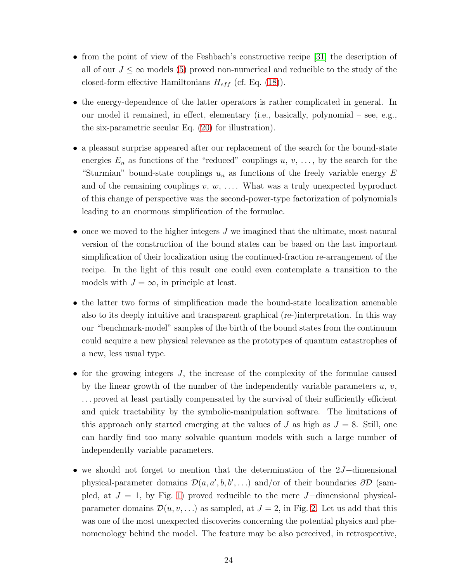- from the point of view of the Feshbach's constructive recipe [\[31\]](#page-26-15) the description of all of our  $J \leq \infty$  models [\(5\)](#page-4-1) proved non-numerical and reducible to the study of the closed-form effective Hamiltonians  $H_{eff}$  (cf. Eq. [\(18\)](#page-10-1)).
- the energy-dependence of the latter operators is rather complicated in general. In our model it remained, in effect, elementary (i.e., basically, polynomial – see, e.g., the six-parametric secular Eq. [\(20\)](#page-11-1) for illustration).
- a pleasant surprise appeared after our replacement of the search for the bound-state energies  $E_n$  as functions of the "reduced" couplings  $u, v, \ldots$ , by the search for the "Sturmian" bound-state couplings  $u_n$  as functions of the freely variable energy E and of the remaining couplings  $v, w, \ldots$ . What was a truly unexpected byproduct of this change of perspective was the second-power-type factorization of polynomials leading to an enormous simplification of the formulae.
- once we moved to the higher integers  $J$  we imagined that the ultimate, most natural version of the construction of the bound states can be based on the last important simplification of their localization using the continued-fraction re-arrangement of the recipe. In the light of this result one could even contemplate a transition to the models with  $J = \infty$ , in principle at least.
- the latter two forms of simplification made the bound-state localization amenable also to its deeply intuitive and transparent graphical (re-)interpretation. In this way our "benchmark-model" samples of the birth of the bound states from the continuum could acquire a new physical relevance as the prototypes of quantum catastrophes of a new, less usual type.
- for the growing integers  $J$ , the increase of the complexity of the formulae caused by the linear growth of the number of the independently variable parameters  $u, v$ , . . . proved at least partially compensated by the survival of their sufficiently efficient and quick tractability by the symbolic-manipulation software. The limitations of this approach only started emerging at the values of J as high as  $J = 8$ . Still, one can hardly find too many solvable quantum models with such a large number of independently variable parameters.
- we should not forget to mention that the determination of the 2J−dimensional physical-parameter domains  $\mathcal{D}(a, a', b, b', \ldots)$  and/or of their boundaries  $\partial \mathcal{D}$  (sampled, at  $J = 1$ , by Fig. [1\)](#page-7-0) proved reducible to the mere J–dimensional physicalparameter domains  $\mathcal{D}(u, v, \ldots)$  as sampled, at  $J = 2$ , in Fig. [2.](#page-9-0) Let us add that this was one of the most unexpected discoveries concerning the potential physics and phenomenology behind the model. The feature may be also perceived, in retrospective,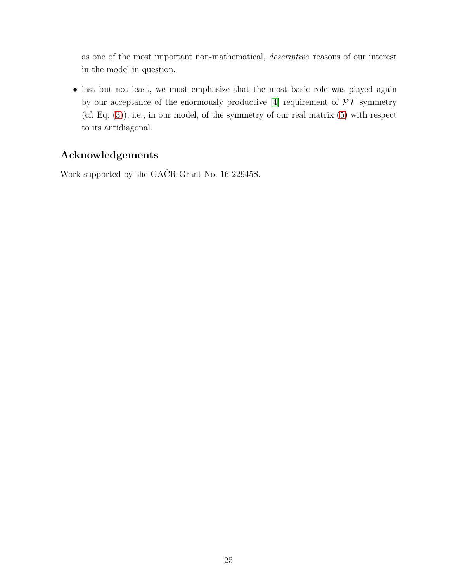as one of the most important non-mathematical, descriptive reasons of our interest in the model in question.

• last but not least, we must emphasize that the most basic role was played again by our acceptance of the enormously productive [\[4\]](#page-25-3) requirement of  $\mathcal{PT}$  symmetry  $(cf. Eq. (3)), i.e., in our model, of the symmetry of our real matrix (5) with respect$  $(cf. Eq. (3)), i.e., in our model, of the symmetry of our real matrix (5) with respect$  $(cf. Eq. (3)), i.e., in our model, of the symmetry of our real matrix (5) with respect$  $(cf. Eq. (3)), i.e., in our model, of the symmetry of our real matrix (5) with respect$  $(cf. Eq. (3)), i.e., in our model, of the symmetry of our real matrix (5) with respect$ to its antidiagonal.

## Acknowledgements

Work supported by the GAČR Grant No. 16-22945S.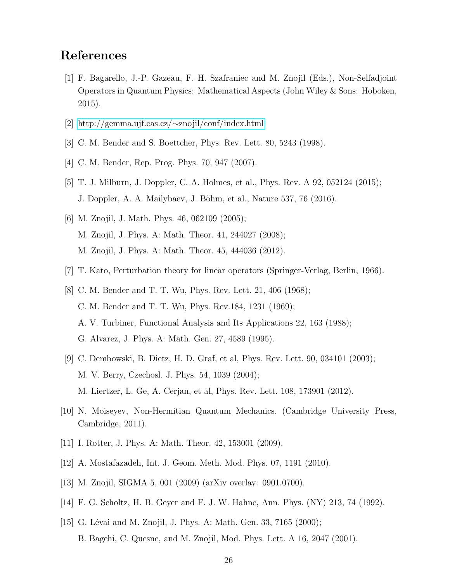# <span id="page-25-0"></span>References

- [1] F. Bagarello, J.-P. Gazeau, F. H. Szafraniec and M. Znojil (Eds.), Non-Selfadjoint Operators in Quantum Physics: Mathematical Aspects (John Wiley & Sons: Hoboken, 2015).
- <span id="page-25-2"></span><span id="page-25-1"></span>[2] [http://gemma.ujf.cas.cz/](http://gemma.ujf.cas.cz/~znojil/conf/index.html)∼znojil/conf/index.html
- <span id="page-25-3"></span>[3] C. M. Bender and S. Boettcher, Phys. Rev. Lett. 80, 5243 (1998).
- <span id="page-25-4"></span>[4] C. M. Bender, Rep. Prog. Phys. 70, 947 (2007).
- <span id="page-25-5"></span>[5] T. J. Milburn, J. Doppler, C. A. Holmes, et al., Phys. Rev. A 92, 052124 (2015); J. Doppler, A. A. Mailybaev, J. Böhm, et al., Nature 537, 76 (2016).
- [6] M. Znojil, J. Math. Phys. 46, 062109 (2005); M. Znojil, J. Phys. A: Math. Theor. 41, 244027 (2008); M. Znojil, J. Phys. A: Math. Theor. 45, 444036 (2012).
- <span id="page-25-7"></span><span id="page-25-6"></span>[7] T. Kato, Perturbation theory for linear operators (Springer-Verlag, Berlin, 1966).
- [8] C. M. Bender and T. T. Wu, Phys. Rev. Lett. 21, 406 (1968); C. M. Bender and T. T. Wu, Phys. Rev.184, 1231 (1969); A. V. Turbiner, Functional Analysis and Its Applications 22, 163 (1988); G. Alvarez, J. Phys. A: Math. Gen. 27, 4589 (1995).
- <span id="page-25-8"></span>[9] C. Dembowski, B. Dietz, H. D. Graf, et al, Phys. Rev. Lett. 90, 034101 (2003); M. V. Berry, Czechosl. J. Phys. 54, 1039 (2004); M. Liertzer, L. Ge, A. Cerjan, et al, Phys. Rev. Lett. 108, 173901 (2012).
- <span id="page-25-10"></span><span id="page-25-9"></span>[10] N. Moiseyev, Non-Hermitian Quantum Mechanics. (Cambridge University Press, Cambridge, 2011).
- <span id="page-25-11"></span>[11] I. Rotter, J. Phys. A: Math. Theor. 42, 153001 (2009).
- <span id="page-25-12"></span>[12] A. Mostafazadeh, Int. J. Geom. Meth. Mod. Phys. 07, 1191 (2010).
- <span id="page-25-13"></span>[13] M. Znojil, SIGMA 5, 001 (2009) (arXiv overlay: 0901.0700).
- <span id="page-25-14"></span>[14] F. G. Scholtz, H. B. Geyer and F. J. W. Hahne, Ann. Phys. (NY) 213, 74 (1992).
- [15] G. Lévai and M. Znojil, J. Phys. A: Math. Gen. 33, 7165 (2000); B. Bagchi, C. Quesne, and M. Znojil, Mod. Phys. Lett. A 16, 2047 (2001).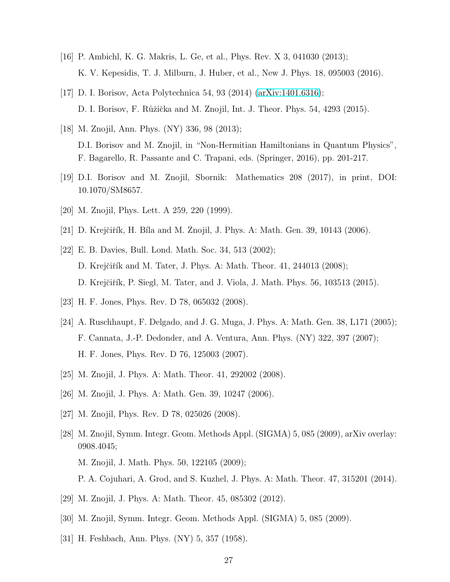- <span id="page-26-1"></span><span id="page-26-0"></span>[16] P. Ambichl, K. G. Makris, L. Ge, et al., Phys. Rev. X 3, 041030 (2013); K. V. Kepesidis, T. J. Milburn, J. Huber, et al., New J. Phys. 18, 095003 (2016).
- <span id="page-26-2"></span>[17] D. I. Borisov, Acta Polytechnica 54, 93 (2014) [\(arXiv:1401.6316\)](http://arxiv.org/abs/1401.6316); D. I. Borisov, F. Růžička and M. Znojil, Int. J. Theor. Phys. 54, 4293 (2015).
- [18] M. Znojil, Ann. Phys. (NY) 336, 98 (2013); D.I. Borisov and M. Znojil, in "Non-Hermitian Hamiltonians in Quantum Physics", F. Bagarello, R. Passante and C. Trapani, eds. (Springer, 2016), pp. 201-217.
- <span id="page-26-4"></span><span id="page-26-3"></span>[19] D.I. Borisov and M. Znojil, Sbornik: Mathematics 208 (2017), in print, DOI: 10.1070/SM8657.
- <span id="page-26-5"></span>[20] M. Znojil, Phys. Lett. A 259, 220 (1999).
- <span id="page-26-6"></span>[21] D. Krejčiřík, H. Bíla and M. Znojil, J. Phys. A: Math. Gen. 39, 10143 (2006).
- [22] E. B. Davies, Bull. Lond. Math. Soc. 34, 513 (2002); D. Krejčiřík and M. Tater, J. Phys. A: Math. Theor. 41, 244013 (2008); D. Krejčiřík, P. Siegl, M. Tater, and J. Viola, J. Math. Phys. 56, 103513 (2015).
- <span id="page-26-8"></span><span id="page-26-7"></span>[23] H. F. Jones, Phys. Rev. D 78, 065032 (2008).
- [24] A. Ruschhaupt, F. Delgado, and J. G. Muga, J. Phys. A: Math. Gen. 38, L171 (2005); F. Cannata, J.-P. Dedonder, and A. Ventura, Ann. Phys. (NY) 322, 397 (2007); H. F. Jones, Phys. Rev. D 76, 125003 (2007).
- <span id="page-26-10"></span><span id="page-26-9"></span>[25] M. Znojil, J. Phys. A: Math. Theor. 41, 292002 (2008).
- <span id="page-26-11"></span>[26] M. Znojil, J. Phys. A: Math. Gen. 39, 10247 (2006).
- <span id="page-26-12"></span>[27] M. Znojil, Phys. Rev. D 78, 025026 (2008).
- [28] M. Znojil, Symm. Integr. Geom. Methods Appl. (SIGMA) 5, 085 (2009), arXiv overlay: 0908.4045; M. Znojil, J. Math. Phys. 50, 122105 (2009); P. A. Cojuhari, A. Grod, and S. Kuzhel, J. Phys. A: Math. Theor. 47, 315201 (2014).
- <span id="page-26-13"></span>
- <span id="page-26-14"></span>[29] M. Znojil, J. Phys. A: Math. Theor. 45, 085302 (2012).
- <span id="page-26-15"></span>[30] M. Znojil, Symm. Integr. Geom. Methods Appl. (SIGMA) 5, 085 (2009).
- [31] H. Feshbach, Ann. Phys. (NY) 5, 357 (1958).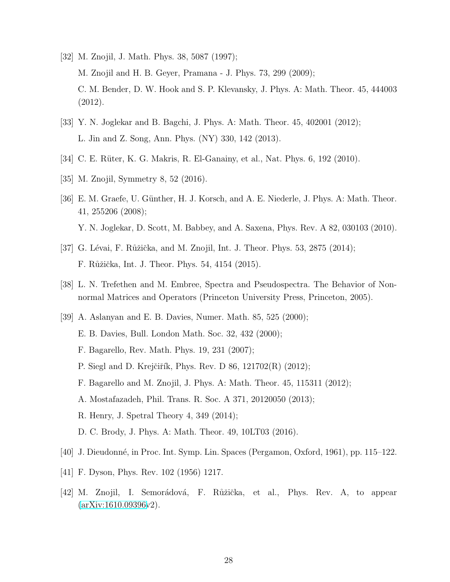- <span id="page-27-0"></span>[32] M. Znojil, J. Math. Phys. 38, 5087 (1997); M. Znojil and H. B. Geyer, Pramana - J. Phys. 73, 299 (2009); C. M. Bender, D. W. Hook and S. P. Klevansky, J. Phys. A: Math. Theor. 45, 444003 (2012).
- <span id="page-27-2"></span><span id="page-27-1"></span>[33] Y. N. Joglekar and B. Bagchi, J. Phys. A: Math. Theor. 45, 402001 (2012); L. Jin and Z. Song, Ann. Phys. (NY) 330, 142 (2013).
- <span id="page-27-3"></span>[34] C. E. Rüter, K. G. Makris, R. El-Ganainy, et al., Nat. Phys. 6, 192 (2010).
- <span id="page-27-4"></span>[35] M. Znojil, Symmetry 8, 52 (2016).
- [36] E. M. Graefe, U. Günther, H. J. Korsch, and A. E. Niederle, J. Phys. A: Math. Theor. 41, 255206 (2008); Y. N. Joglekar, D. Scott, M. Babbey, and A. Saxena, Phys. Rev. A 82, 030103 (2010).
- <span id="page-27-6"></span><span id="page-27-5"></span>[37] G. Lévai, F. Růžička, and M. Znojil, Int. J. Theor. Phys. 53, 2875 (2014); F. Růžička, Int. J. Theor. Phys. 54, 4154 (2015).
- <span id="page-27-7"></span>[38] L. N. Trefethen and M. Embree, Spectra and Pseudospectra. The Behavior of Nonnormal Matrices and Operators (Princeton University Press, Princeton, 2005).
- [39] A. Aslanyan and E. B. Davies, Numer. Math. 85, 525 (2000); E. B. Davies, Bull. London Math. Soc. 32, 432 (2000); F. Bagarello, Rev. Math. Phys. 19, 231 (2007); P. Siegl and D. Krejčiřík, Phys. Rev. D 86, 121702(R) (2012); F. Bagarello and M. Znojil, J. Phys. A: Math. Theor. 45, 115311 (2012); A. Mostafazadeh, Phil. Trans. R. Soc. A 371, 20120050 (2013); R. Henry, J. Spetral Theory 4, 349 (2014); D. C. Brody, J. Phys. A: Math. Theor. 49, 10LT03 (2016).
- <span id="page-27-9"></span><span id="page-27-8"></span>[40] J. Dieudonn´e, in Proc. Int. Symp. Lin. Spaces (Pergamon, Oxford, 1961), pp. 115–122.
- <span id="page-27-10"></span>[41] F. Dyson, Phys. Rev. 102 (1956) 1217.
- [42] M. Znojil, I. Semorádová, F. Růžička, et al., Phys. Rev. A, to appear [\(arXiv:1610.09396v](http://arxiv.org/abs/1610.09396)2).